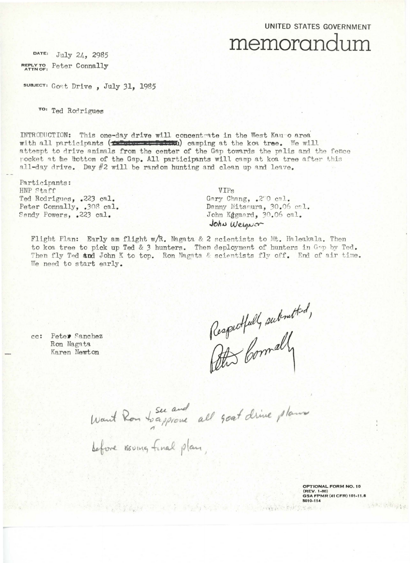## UNITED STATES GOVERNMENT memorandum

DATE: July 24, 2985 REPLY TO Peter Connally

suarect: Goat Drive, July 31, 1985

To: Ted Rodrigues

INTRODUCTION: This one-day drive will concentrate in the West Kaupo area with all participants (the strategy camping at the koa tree. We will attempt to drive animals from the center of the Gap towards the palis and the fence pocket at the bottom of the Gap. All participants will camp at koa tree after this all-day drive. Day #2 will be random hunting and clean up and leave.

Participants: HNP Staff Ted Rodrigues, .223 cal. Peter Connally, .308 cal. Sandy Powers, .223 cal.

VIPs Gary Chang, .200 cal. Danny Mitsmura, 30.06 cal. John Kġgaard, 30.06 cal. John Weigner

Flight Plan: Early am flight w/R. Nagata & 2 scientists to Mt. Haleakala. Then to koa tree to pick up Ted & 3 hunters. Then deployment of hunters in Gap by Ted. Then fly Ted and John K to top. Ron Nagata & scientists fly off. End of air time. We need to start early.

Peter Sanchez  $cc:$ Ron Nagata Karen Newton

Respectfully submitted,

Want Ron toapprove all goat drive plans

OPTIONAL FORM NO. 10 (REV. 1-80)<br>GSA FPMR (41 CFR) 101-11.6 5010-114 (494) 新型学生 **的复数医家庭 化二苯基 的复数经交流 医白色 网络微微微微微微**